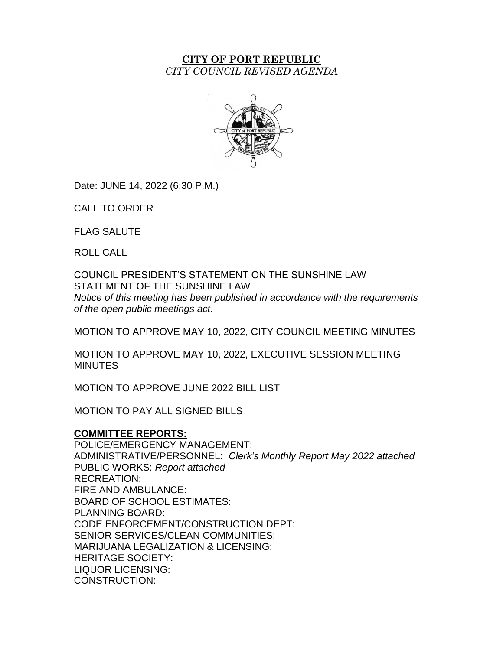## **CITY OF PORT REPUBLIC** *CITY COUNCIL REVISED AGENDA*



Date: JUNE 14, 2022 (6:30 P.M.)

CALL TO ORDER

FLAG SALUTE

ROLL CALL

COUNCIL PRESIDENT'S STATEMENT ON THE SUNSHINE LAW STATEMENT OF THE SUNSHINE LAW *Notice of this meeting has been published in accordance with the requirements of the open public meetings act.*

MOTION TO APPROVE MAY 10, 2022, CITY COUNCIL MEETING MINUTES

MOTION TO APPROVE MAY 10, 2022, EXECUTIVE SESSION MEETING **MINUTES** 

MOTION TO APPROVE JUNE 2022 BILL LIST

MOTION TO PAY ALL SIGNED BILLS

#### **COMMITTEE REPORTS:**

POLICE/EMERGENCY MANAGEMENT: ADMINISTRATIVE/PERSONNEL: *Clerk's Monthly Report May 2022 attached* PUBLIC WORKS: *Report attached* RECREATION: FIRE AND AMBULANCE: BOARD OF SCHOOL ESTIMATES: PLANNING BOARD: CODE ENFORCEMENT/CONSTRUCTION DEPT: SENIOR SERVICES/CLEAN COMMUNITIES: MARIJUANA LEGALIZATION & LICENSING: HERITAGE SOCIETY: LIQUOR LICENSING: CONSTRUCTION: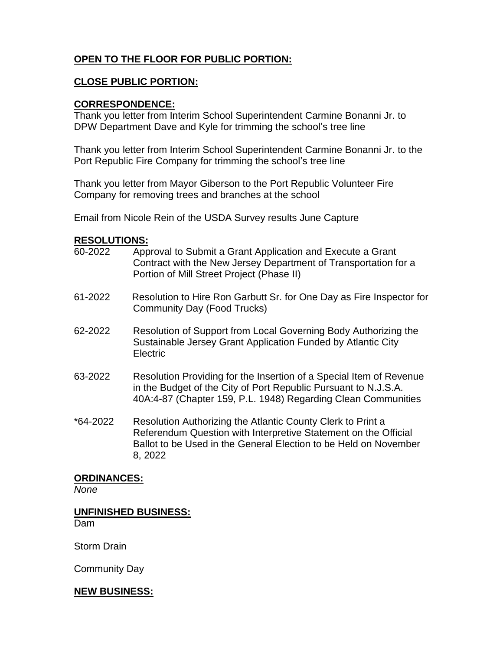# **OPEN TO THE FLOOR FOR PUBLIC PORTION:**

## **CLOSE PUBLIC PORTION:**

### **CORRESPONDENCE:**

Thank you letter from Interim School Superintendent Carmine Bonanni Jr. to DPW Department Dave and Kyle for trimming the school's tree line

Thank you letter from Interim School Superintendent Carmine Bonanni Jr. to the Port Republic Fire Company for trimming the school's tree line

Thank you letter from Mayor Giberson to the Port Republic Volunteer Fire Company for removing trees and branches at the school

Email from Nicole Rein of the USDA Survey results June Capture

### **RESOLUTIONS:**

- 60-2022 Approval to Submit a Grant Application and Execute a Grant Contract with the New Jersey Department of Transportation for a Portion of Mill Street Project (Phase II)
- 61-2022 Resolution to Hire Ron Garbutt Sr. for One Day as Fire Inspector for Community Day (Food Trucks)
- 62-2022 Resolution of Support from Local Governing Body Authorizing the Sustainable Jersey Grant Application Funded by Atlantic City Electric
- 63-2022 Resolution Providing for the Insertion of a Special Item of Revenue in the Budget of the City of Port Republic Pursuant to N.J.S.A. 40A:4-87 (Chapter 159, P.L. 1948) Regarding Clean Communities
- \*64-2022 Resolution Authorizing the Atlantic County Clerk to Print a Referendum Question with Interpretive Statement on the Official Ballot to be Used in the General Election to be Held on November 8, 2022

#### **ORDINANCES:**

*None*

# **UNFINISHED BUSINESS:**

Dam

Storm Drain

Community Day

## **NEW BUSINESS:**